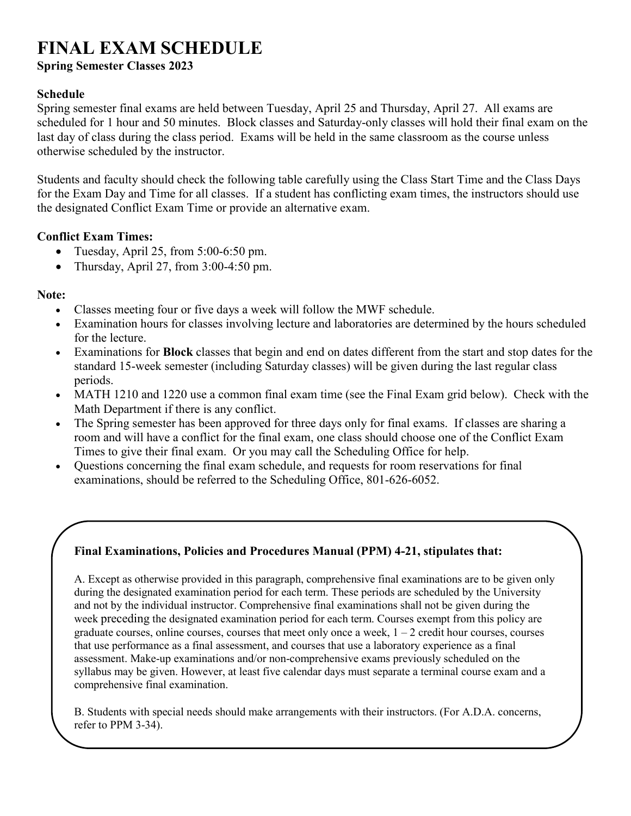# **FINAL EXAM SCHEDULE**

**Spring Semester Classes 2023**

#### **Schedule**

Spring semester final exams are held between Tuesday, April 25 and Thursday, April 27. All exams are scheduled for 1 hour and 50 minutes. Block classes and Saturday-only classes will hold their final exam on the last day of class during the class period. Exams will be held in the same classroom as the course unless otherwise scheduled by the instructor.

Students and faculty should check the following table carefully using the Class Start Time and the Class Days for the Exam Day and Time for all classes. If a student has conflicting exam times, the instructors should use the designated Conflict Exam Time or provide an alternative exam.

#### **Conflict Exam Times:**

- Tuesday, April 25, from 5:00-6:50 pm.
- Thursday, April 27, from 3:00-4:50 pm.

### **Note:**

- Classes meeting four or five days a week will follow the MWF schedule.
- Examination hours for classes involving lecture and laboratories are determined by the hours scheduled for the lecture.
- Examinations for **Block** classes that begin and end on dates different from the start and stop dates for the standard 15-week semester (including Saturday classes) will be given during the last regular class periods.
- MATH 1210 and 1220 use a common final exam time (see the Final Exam grid below). Check with the Math Department if there is any conflict.
- The Spring semester has been approved for three days only for final exams. If classes are sharing a room and will have a conflict for the final exam, one class should choose one of the Conflict Exam Times to give their final exam. Or you may call the Scheduling Office for help.
- Questions concerning the final exam schedule, and requests for room reservations for final examinations, should be referred to the Scheduling Office, 801-626-6052.

## **Final Examinations, Policies and Procedures Manual (PPM) 4-21, stipulates that:**

A. Except as otherwise provided in this paragraph, comprehensive final examinations are to be given only during the designated examination period for each term. These periods are scheduled by the University and not by the individual instructor. Comprehensive final examinations shall not be given during the week preceding the designated examination period for each term. Courses exempt from this policy are graduate courses, online courses, courses that meet only once a week,  $1 - 2$  credit hour courses, courses that use performance as a final assessment, and courses that use a laboratory experience as a final assessment. Make-up examinations and/or non-comprehensive exams previously scheduled on the syllabus may be given. However, at least five calendar days must separate a terminal course exam and a comprehensive final examination.

B. Students with special needs should make arrangements with their instructors. (For A.D.A. concerns, refer to PPM 3-34).